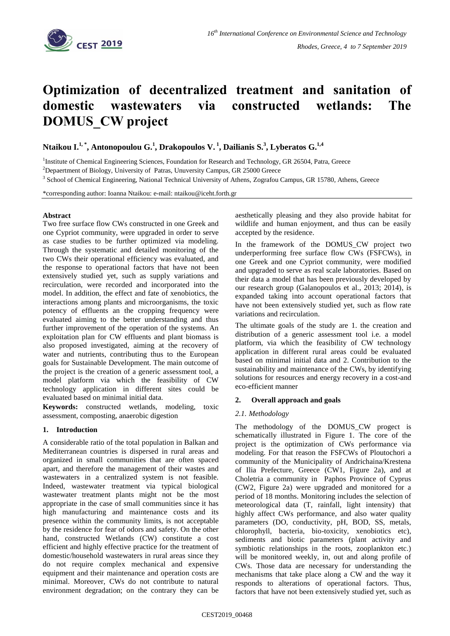

# **Optimization of decentralized treatment and sanitation of domestic wastewaters via constructed wetlands: The DOMUS\_CW project**

**Ntaikou I. 1, \* , Antonopoulou G. 1 , Drakopoulos V. <sup>1</sup> , Dailianis S.<sup>3</sup> , Lyberatos G. 1,4**

<sup>1</sup>Institute of Chemical Engineering Sciences, Foundation for Research and Technology, GR 26504, Patra, Greece

<sup>2</sup>Depaertment of Biology, University of Patras, Unuversity Campus, GR 25000 Greece

<sup>3</sup> School of Chemical Engineering, National Technical University of Athens, Zografou Campus, GR 15780, Athens, Greece

\*corresponding author: Ioanna Ntaikou: e-mail: ntaikou@iceht.forth.gr

### **Abstract**

Two free surface flow CWs constructed in one Greek and one Cypriot community, were upgraded in order to serve as case studies to be further optimized via modeling. Through the systematic and detailed monitoring of the two CWs their operational efficiency was evaluated, and the response to operational factors that have not been extensively studied yet, such as supply variations and recirculation, were recorded and incorporated into the model. In addition, the effect and fate of xenobiotics, the interactions among plants and microorganisms, the toxic potency of effluents an the cropping frequency were evaluated aiming to the better understanding and thus further improvement of the operation of the systems. An exploitation plan for CW effluents and plant biomass is also proposed investigated, aiming at the recovery of water and nutrients, contributing thus to the European goals for Sustainable Development. The main outcome of the project is the creation of a generic assessment tool, a model platform via which the feasibility of CW technology application in different sites could be evaluated based on minimal initial data.

**Keywords:** constructed wetlands, modeling, toxic assessment, composting, anaerobic digestion

# **1. Introduction**

A considerable ratio of the total population in Balkan and Mediterranean countries is dispersed in rural areas and organized in small communities that are often spaced apart, and therefore the management of their wastes and wastewaters in a centralized system is not feasible. Indeed, wastewater treatment via typical biological wastewater treatment plants might not be the most appropriate in the case of small communities since it has high manufacturing and maintenance costs and its presence within the community limits, is not acceptable by the residence for fear of odors and safety. On the other hand, constructed Wetlands (CW) constitute a cost efficient and highly effective practice for the treatment of domestic/household wastewaters in rural areas since they do not require complex mechanical and expensive equipment and their maintenance and operation costs are minimal. Moreover, CWs do not contribute to natural environment degradation; on the contrary they can be aesthetically pleasing and they also provide habitat for wildlife and human enjoyment, and thus can be easily accepted by the residence.

In the framework of the DOMUS CW project two underperforming free surface flow CWs (FSFCWs), in one Greek and one Cypriot community, were modified and upgraded to serve as real scale laboratories. Based on their data a model that has been previously developed by our research group (Galanopoulos et al., 2013; 2014), is expanded taking into account operational factors that have not been extensively studied yet, such as flow rate variations and recirculation.

The ultimate goals of the study are 1. the creation and distribution of a generic assessment tool i.e. a model platform, via which the feasibility of CW technology application in different rural areas could be evaluated based on minimal initial data and 2. Contribution to the sustainability and maintenance of the CWs, by identifying solutions for resources and energy recovery in a cost-and eco-efficient manner

# **2. Overall approach and goals**

# *2.1. Methodology*

The methodology of the DOMUS\_CW progect is schematically illustrated in Figure 1. The core of the project is the optimization of CWs performance via modeling. For that reason the FSFCWs of Ploutochori a community of the Municipality of Andrichaina/Krestena of Ilia Prefecture, Greece (CW1, Figure 2a), and at Choletria a community in Paphos Province of Cyprus (CW2, Figure 2a) were upgraded and monitored for a period of 18 months. Monitoring includes the selection of meteorological data (T, rainfall, light intensity) that highly affect CWs performance, and also water quality parameters (DO, conductivity, pH, BOD, SS, metals, chlorophyll, bacteria, bio-toxicity, xenobiotics etc), sediments and biotic parameters (plant activity and symbiotic relationships in the roots, zooplankton etc.) will be monitored weekly, in, out and along profile of CWs. Those data are necessary for understanding the mechanisms that take place along a CW and the way it responds to alterations of operational factors. Thus, factors that have not been extensively studied yet, such as